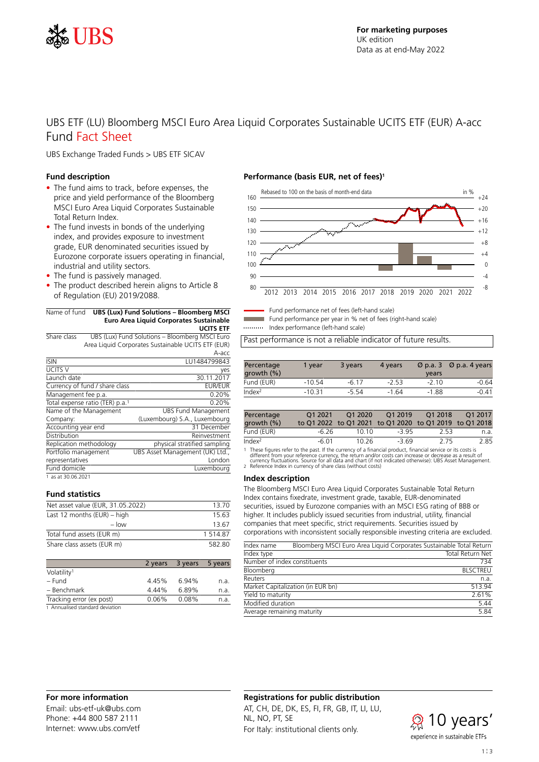

# UBS ETF (LU) Bloomberg MSCI Euro Area Liquid Corporates Sustainable UCITS ETF (EUR) A-acc Fund Fact Sheet

UBS Exchange Traded Funds > UBS ETF SICAV

#### **Fund description**

- The fund aims to track, before expenses, the price and yield performance of the Bloomberg MSCI Euro Area Liquid Corporates Sustainable Total Return Index.
- The fund invests in bonds of the underlying index, and provides exposure to investment grade, EUR denominated securities issued by Eurozone corporate issuers operating in financial, industrial and utility sectors.
- The fund is passively managed.
- The product described herein aligns to Article 8 of Regulation (EU) 2019/2088.

#### Name of fund **UBS (Lux) Fund Solutions – Bloomberg MSCI Euro Area Liquid Corporates Sustainable UCITS ETF**

| Share class          |                                             | UBS (Lux) Fund Solutions - Bloomberg MSCI Euro     |
|----------------------|---------------------------------------------|----------------------------------------------------|
|                      |                                             | Area Liquid Corporates Sustainable UCITS ETF (EUR) |
|                      |                                             | A-acc                                              |
| <b>ISIN</b>          |                                             | LU1484799843                                       |
| UCITS V              |                                             | yes                                                |
| Launch date          |                                             | 30.11.2017                                         |
|                      | Currency of fund / share class              | <b>EUR/EUR</b>                                     |
| Management fee p.a.  |                                             | 0.20%                                              |
|                      | Total expense ratio (TER) p.a. <sup>1</sup> | 0.20%                                              |
|                      | Name of the Management                      | <b>UBS Fund Management</b>                         |
| Company:             |                                             | (Luxembourg) S.A., Luxembourg                      |
| Accounting year end  |                                             | 31 December                                        |
| Distribution         |                                             | Reinvestment                                       |
|                      | Replication methodology                     | physical stratified sampling                       |
| Portfolio management |                                             | UBS Asset Management (UK) Ltd.,                    |
| representatives      |                                             | London                                             |
| Fund domicile        |                                             | Luxembourg                                         |
| 1 as at 30.06.2021   |                                             |                                                    |

# **Fund statistics**

| Net asset value (EUR, 31.05.2022) | 13.70       |
|-----------------------------------|-------------|
| Last 12 months $(EUR)$ – high     | 15.63       |
| $-$ low                           | 13.67       |
| Total fund assets (EUR m)         | 1 5 1 4 8 7 |
| Share class assets (EUR m)        | 58280       |

|                                 | 2 years | 3 years | 5 years |
|---------------------------------|---------|---------|---------|
| Volatility <sup>1</sup>         |         |         |         |
| – Fund                          | 4.45%   | 6.94%   | n.a.    |
| - Benchmark                     | 4.44%   | 6.89%   | n.a.    |
| Tracking error (ex post)        | 0.06%   | 0.08%   | n.a.    |
| 1 Annualised standard deviation |         |         |         |

#### **Performance (basis EUR, net of fees)<sup>1</sup>**



Fund performance net of fees (left-hand scale)

Fund performance per year in % net of fees (right-hand scale)

Index performance (left-hand scale)

Past performance is not a reliable indicator of future results.

| Percentage<br>growth $(\% )$ | 1 vear   | 3 years | 4 years | $\varnothing$ p.a. 3<br>vears | $\varnothing$ p.a. 4 years |
|------------------------------|----------|---------|---------|-------------------------------|----------------------------|
| Fund (EUR)                   | $-10.54$ | $-617$  | $-253$  | $-210$                        | $-0.64$                    |
| Index <sup>2</sup>           | $-10.31$ | $-554$  | $-1.64$ | $-1.88$                       | $-0.41$                    |

| Percentage<br>growth $(\% )$ | O1 2021 | O1 2020<br>to Q1 2022 to Q1 2021 to Q1 2020 to Q1 2019 to Q1 2018 | O1 2019 | O12018 | O <sub>1</sub> 2017 |
|------------------------------|---------|-------------------------------------------------------------------|---------|--------|---------------------|
| Fund (EUR)                   | -6.26   | 10.10                                                             | -3.95   | -2.53  | n.a.                |
| Index <sup>2</sup>           | -6.01   | 10.26                                                             | $-369$  | 275    | 2.85                |

1 These figures refer to the past. If the currency of a financial product, financial service or its costs is

different from your reference currency, the return and/or costs can increase or decrease as a result of<br>currency fluctuations. Source for all data and chart (if not indicated otherwise): UBS Asset Management.<br>2. Reference

#### **Index description**

The Bloomberg MSCI Euro Area Liquid Corporates Sustainable Total Return Index contains fixedrate, investment grade, taxable, EUR-denominated securities, issued by Eurozone companies with an MSCI ESG rating of BBB or higher. It includes publicly issued securities from industrial, utility, financial companies that meet specific, strict requirements. Securities issued by corporations with inconsistent socially responsible investing criteria are excluded.

| Index name                 |                                   | Bloomberg MSCI Euro Area Liquid Corporates Sustainable Total Return |
|----------------------------|-----------------------------------|---------------------------------------------------------------------|
| Index type                 |                                   | Total Return Net                                                    |
|                            | Number of index constituents      | 734                                                                 |
| Bloomberg                  |                                   | <b>BLSCTREU</b>                                                     |
| Reuters                    |                                   | n.a.                                                                |
|                            | Market Capitalization (in EUR bn) | 513.94                                                              |
| Yield to maturity          |                                   | 2.61%                                                               |
| Modified duration          |                                   | 5.44                                                                |
| Average remaining maturity |                                   | 5.84                                                                |
|                            |                                   |                                                                     |

# **For more information**

Email: ubs-etf-uk@ubs.com Phone: +44 800 587 2111 Internet: www.ubs.com/etf

#### **Registrations for public distribution**

AT, CH, DE, DK, ES, FI, FR, GB, IT, LI, LU, NL, NO, PT, SE For Italy: institutional clients only.

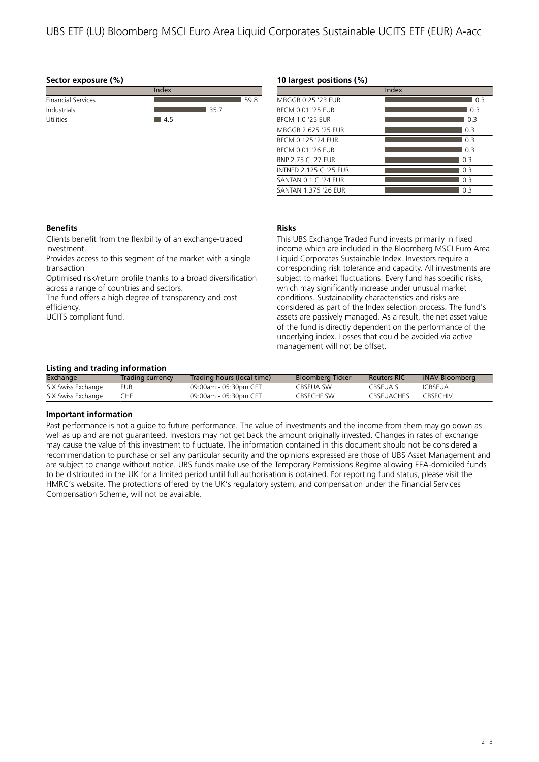# **Sector exposure (%)**

| Index                     |      |  |  |  |
|---------------------------|------|--|--|--|
| <b>Financial Services</b> | 59 R |  |  |  |
| Industrials               | 35.  |  |  |  |
| <b>Utilities</b>          | 45   |  |  |  |

#### **10 largest positions (%)**

|                               | Index |
|-------------------------------|-------|
| MBGGR 0.25 '23 FUR            | 0.3   |
| BFCM 0.01 '25 FUR             | 0.3   |
| <b>BFCM 1.0 '25 FUR</b>       | 0.3   |
| MBGGR 2.625 '25 FUR           | 0.3   |
| BFCM 0.125 '24 FUR            | 0.3   |
| BFCM 0.01 '26 FUR             | 0.3   |
| BNP 2.75 C '27 FUR            | 0.3   |
| <b>INTNFD 2.125 C '25 FUR</b> | 03    |
| SANTAN 0.1 C '24 FUR          | 0.3   |
| <b>SANTAN 1.375 '26 FUR</b>   | 03    |

### **Benefits**

Clients benefit from the flexibility of an exchange-traded investment.

Provides access to this segment of the market with a single transaction

Optimised risk/return profile thanks to a broad diversification across a range of countries and sectors.

The fund offers a high degree of transparency and cost efficiency.

UCITS compliant fund.

# **Risks**

This UBS Exchange Traded Fund invests primarily in fixed income which are included in the Bloomberg MSCI Euro Area Liquid Corporates Sustainable Index. Investors require a corresponding risk tolerance and capacity. All investments are subject to market fluctuations. Every fund has specific risks, which may significantly increase under unusual market conditions. Sustainability characteristics and risks are considered as part of the Index selection process. The fund's assets are passively managed. As a result, the net asset value of the fund is directly dependent on the performance of the underlying index. Losses that could be avoided via active management will not be offset.

### **Listing and trading information**

| Exchange           | Trading currency | Trading hours (local time) | Bloomberg Ticker | <b>Reuters RIC</b> | iNAV Bloomberg  |
|--------------------|------------------|----------------------------|------------------|--------------------|-----------------|
| SIX Swiss Exchange | EUR              | 09:00am - 05:30pm CET      | CBSFUA SW        | CBSFUA S           | <b>ICBSEUA</b>  |
| SIX Swiss Exchange | CHF              | 09:00am - 05:30pm CET      | CRSECHE SW       | CBSFUACHES         | <b>CBSECHIV</b> |

# **Important information**

Past performance is not a guide to future performance. The value of investments and the income from them may go down as well as up and are not guaranteed. Investors may not get back the amount originally invested. Changes in rates of exchange may cause the value of this investment to fluctuate. The information contained in this document should not be considered a recommendation to purchase or sell any particular security and the opinions expressed are those of UBS Asset Management and are subject to change without notice. UBS funds make use of the Temporary Permissions Regime allowing EEA-domiciled funds to be distributed in the UK for a limited period until full authorisation is obtained. For reporting fund status, please visit the HMRC's website. The protections offered by the UK's regulatory system, and compensation under the Financial Services Compensation Scheme, will not be available.